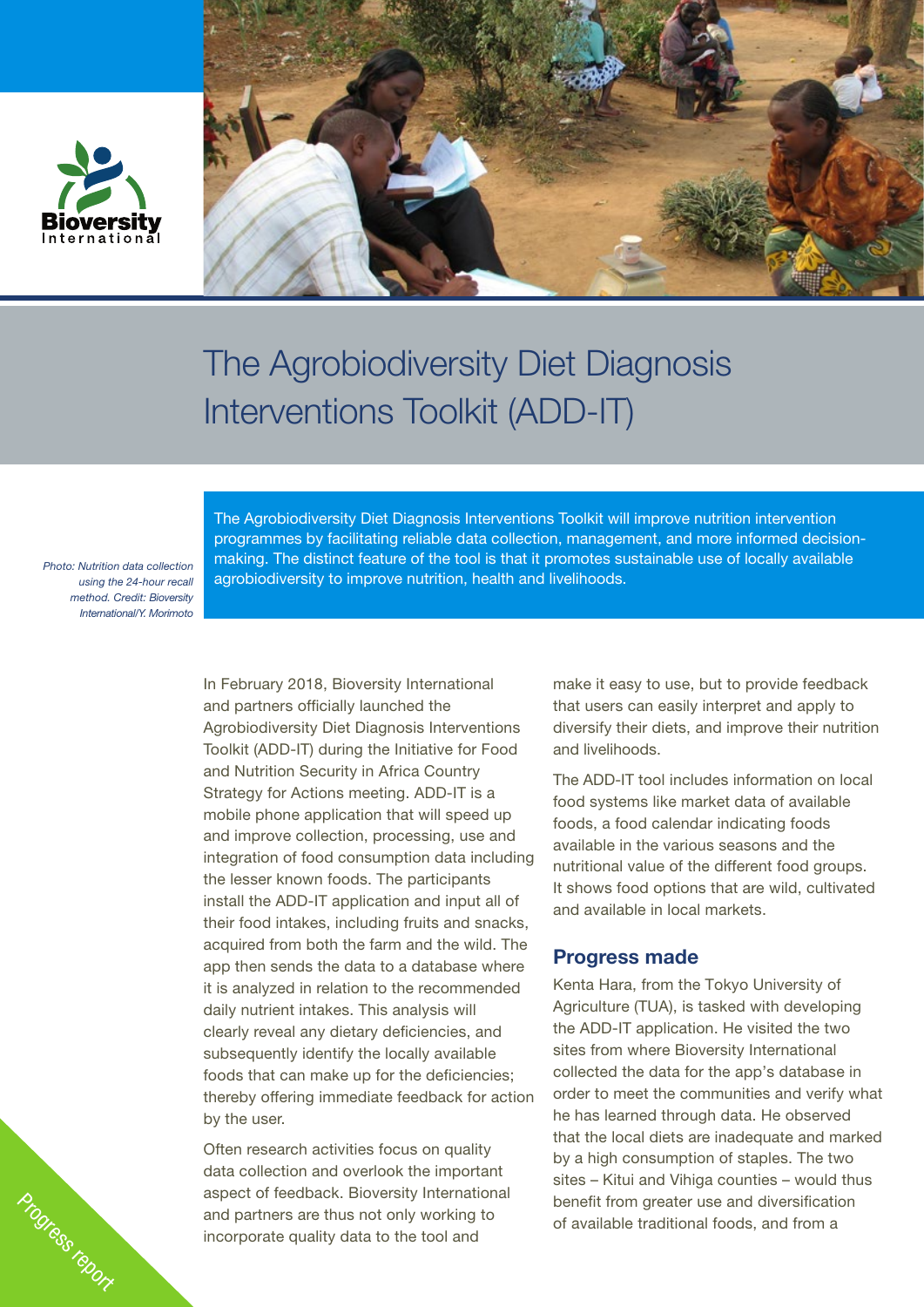



# The Agrobiodiversity Diet Diagnosis Interventions Toolkit (ADD-IT)

*Photo: Nutrition data collection using the 24-hour recall method. Credit: Bioversity International/Y. Morimoto*

Progress report

The Agrobiodiversity Diet Diagnosis Interventions Toolkit will improve nutrition intervention programmes by facilitating reliable data collection, management, and more informed decisionmaking. The distinct feature of the tool is that it promotes sustainable use of locally available agrobiodiversity to improve nutrition, health and livelihoods.

In February 2018, Bioversity International and partners officially launched the Agrobiodiversity Diet Diagnosis Interventions Toolkit (ADD-IT) during the Initiative for Food and Nutrition Security in Africa Country Strategy for Actions meeting. ADD-IT is a mobile phone application that will speed up and improve collection, processing, use and integration of food consumption data including the lesser known foods. The participants install the ADD-IT application and input all of their food intakes, including fruits and snacks, acquired from both the farm and the wild. The app then sends the data to a database where it is analyzed in relation to the recommended daily nutrient intakes. This analysis will clearly reveal any dietary deficiencies, and subsequently identify the locally available foods that can make up for the deficiencies; thereby offering immediate feedback for action by the user.

Often research activities focus on quality data collection and overlook the important aspect of feedback. Bioversity International and partners are thus not only working to incorporate quality data to the tool and

make it easy to use, but to provide feedback that users can easily interpret and apply to diversify their diets, and improve their nutrition and livelihoods.

The ADD-IT tool includes information on local food systems like market data of available foods, a food calendar indicating foods available in the various seasons and the nutritional value of the different food groups. It shows food options that are wild, cultivated and available in local markets.

### Progress made

Kenta Hara, from the Tokyo University of Agriculture (TUA), is tasked with developing the ADD-IT application. He visited the two sites from where Bioversity International collected the data for the app's database in order to meet the communities and verify what he has learned through data. He observed that the local diets are inadequate and marked by a high consumption of staples. The two sites – Kitui and Vihiga counties – would thus benefit from greater use and diversification of available traditional foods, and from a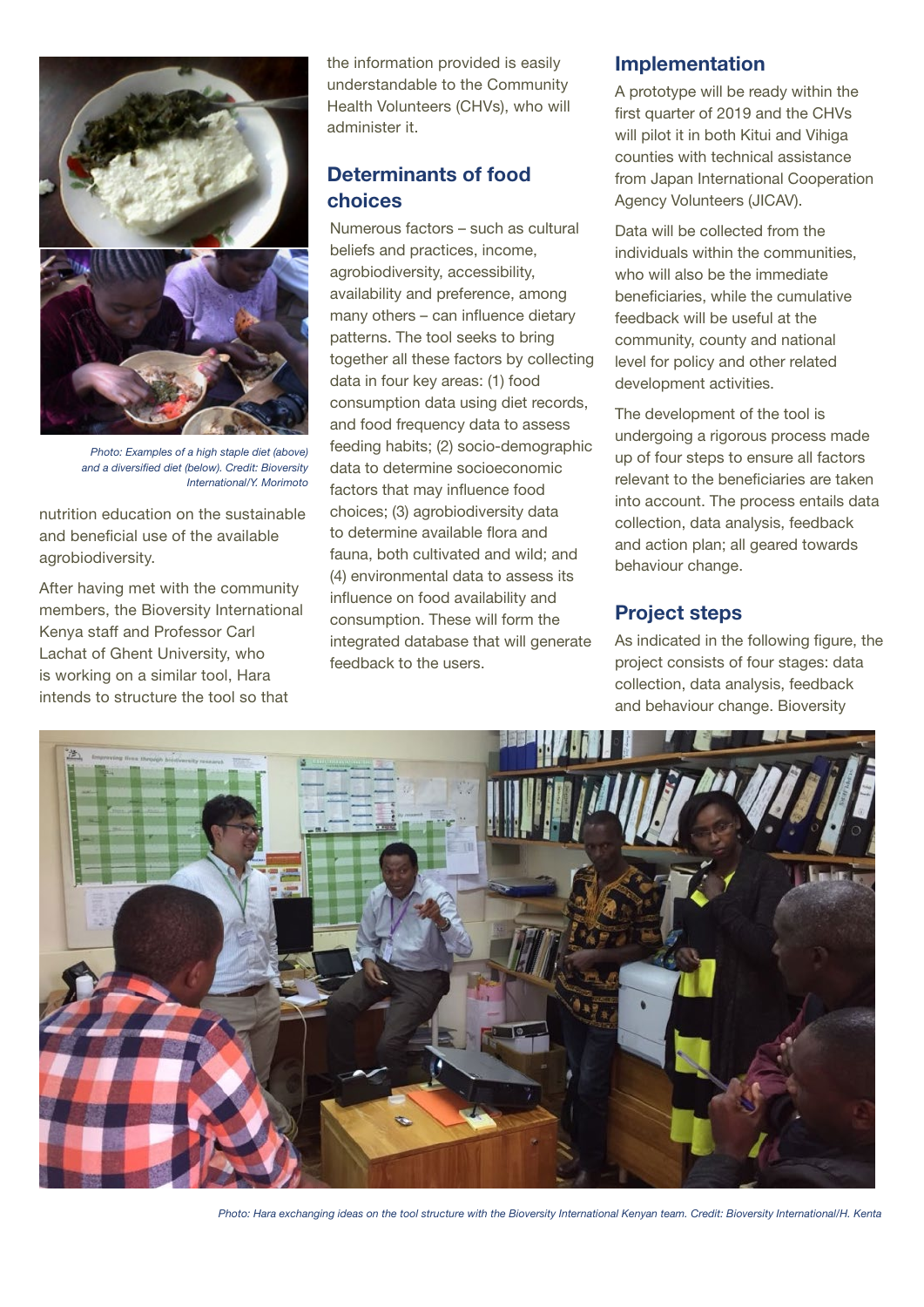

*Photo: Examples of a high staple diet (above) and a diversified diet (below). Credit: Bioversity International/Y. Morimoto*

nutrition education on the sustainable and beneficial use of the available agrobiodiversity.

After having met with the community members, the Bioversity International Kenya staff and Professor Carl Lachat of Ghent University, who is working on a similar tool, Hara intends to structure the tool so that

the information provided is easily understandable to the Community Health Volunteers (CHVs), who will administer it.

# Determinants of food choices

Numerous factors – such as cultural beliefs and practices, income, agrobiodiversity, accessibility, availability and preference, among many others – can influence dietary patterns. The tool seeks to bring together all these factors by collecting data in four key areas: (1) food consumption data using diet records, and food frequency data to assess feeding habits; (2) socio-demographic data to determine socioeconomic factors that may influence food choices; (3) agrobiodiversity data to determine available flora and fauna, both cultivated and wild; and (4) environmental data to assess its influence on food availability and consumption. These will form the integrated database that will generate feedback to the users.

## Implementation

A prototype will be ready within the first quarter of 2019 and the CHVs will pilot it in both Kitui and Vihiga counties with technical assistance from Japan International Cooperation Agency Volunteers (JICAV).

Data will be collected from the individuals within the communities, who will also be the immediate beneficiaries, while the cumulative feedback will be useful at the community, county and national level for policy and other related development activities.

The development of the tool is undergoing a rigorous process made up of four steps to ensure all factors relevant to the beneficiaries are taken into account. The process entails data collection, data analysis, feedback and action plan; all geared towards behaviour change.

## Project steps

As indicated in the following figure, the project consists of four stages: data collection, data analysis, feedback and behaviour change. Bioversity



*Photo: Hara exchanging ideas on the tool structure with the Bioversity International Kenyan team. Credit: Bioversity International/H. Kenta*